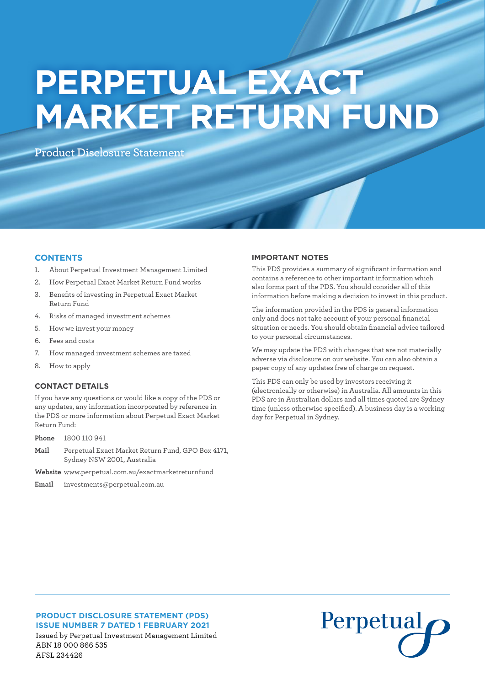# **PERPETUAL EXACT MARKET RETURN FUND**

**Product Disclosure Statement** 

# **CONTENTS**

- 1. About Perpetual Investment Management Limited
- 2. How Perpetual Exact Market Return Fund works
- 3. Benefits of investing in Perpetual Exact Market Return Fund
- 4. Risks of managed investment schemes
- 5. How we invest your money
- 6. Fees and costs
- 7. How managed investment schemes are taxed
- 8. How to apply

# **CONTACT DETAILS**

If you have any questions or would like a copy of the PDS or any updates, any information incorporated by reference in the PDS or more information about Perpetual Exact Market Return Fund:

**Phone** 1800 110 941

- **Mail** Perpetual Exact Market Return Fund, GPO Box 4171, Sydney NSW 2001, Australia
- **Website** www.perpetual.com.au/exactmarketreturnfund

**Email** investments@perpetual.com.au

# **IMPORTANT NOTES**

This PDS provides a summary of significant information and contains a reference to other important information which also forms part of the PDS. You should consider all of this information before making a decision to invest in this product.

The information provided in the PDS is general information only and does not take account of your personal financial situation or needs. You should obtain financial advice tailored to your personal circumstances.

We may update the PDS with changes that are not materially adverse via disclosure on our website. You can also obtain a paper copy of any updates free of charge on request.

This PDS can only be used by investors receiving it (electronically or otherwise) in Australia. All amounts in this PDS are in Australian dollars and all times quoted are Sydney time (unless otherwise specified). A business day is a working day for Perpetual in Sydney.

# **PRODUCT DISCLOSURE STATEMENT (PDS) ISSUE NUMBER 7 DATED 1 FEBRUARY 2021** Issued by Perpetual Investment Management Limited ABN 18 000 866 535 AFSL 234426

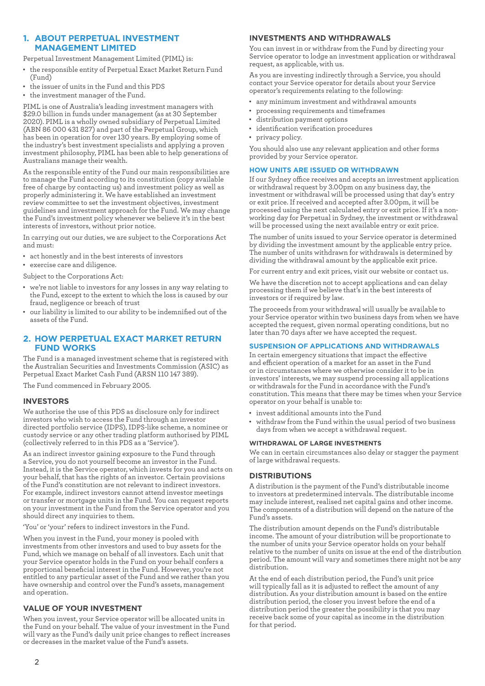# **1. ABOUT PERPETUAL INVESTMENT MANAGEMENT LIMITED**

Perpetual Investment Management Limited (PIML) is:

- • the responsible entity of Perpetual Exact Market Return Fund (Fund)
- • the issuer of units in the Fund and this PDS
- • the investment manager of the Fund.

PIML is one of Australia's leading investment managers with \$29.0 billion in funds under management (as at 30 September 2020). PIML is a wholly owned subsidiary of Perpetual Limited (ABN 86 000 431 827) and part of the Perpetual Group, which has been in operation for over 130 years. By employing some of the industry's best investment specialists and applying a proven investment philosophy, PIML has been able to help generations of Australians manage their wealth.

As the responsible entity of the Fund our main responsibilities are to manage the Fund according to its constitution (copy available free of charge by contacting us) and investment policy as well as properly administering it. We have established an investment review committee to set the investment objectives, investment guidelines and investment approach for the Fund. We may change the Fund's investment policy whenever we believe it's in the best interests of investors, without prior notice.

In carrying out our duties, we are subject to the Corporations Act and must:

- act honestly and in the best interests of investors
- exercise care and diligence.

Subject to the Corporations Act:

- we're not liable to investors for any losses in any way relating to the Fund, except to the extent to which the loss is caused by our fraud, negligence or breach of trust
- • our liability is limited to our ability to be indemnified out of the assets of the Fund.

# **2. HOW PERPETUAL EXACT MARKET RETURN FUND WORKS**

The Fund is a managed investment scheme that is registered with the Australian Securities and Investments Commission (ASIC) as Perpetual Exact Market Cash Fund (ARSN 110 147 389).

The Fund commenced in February 2005.

# **INVESTORS**

We authorise the use of this PDS as disclosure only for indirect investors who wish to access the Fund through an investor directed portfolio service (IDPS), IDPS-like scheme, a nominee or custody service or any other trading platform authorised by PIML (collectively referred to in this PDS as a 'Service').

As an indirect investor gaining exposure to the Fund through a Service, you do not yourself become an investor in the Fund. Instead, it is the Service operator, which invests for you and acts on your behalf, that has the rights of an investor. Certain provisions of the Fund's constitution are not relevant to indirect investors. For example, indirect investors cannot attend investor meetings or transfer or mortgage units in the Fund. You can request reports on your investment in the Fund from the Service operator and you should direct any inquiries to them.

'You' or 'your' refers to indirect investors in the Fund.

When you invest in the Fund, your money is pooled with investments from other investors and used to buy assets for the Fund, which we manage on behalf of all investors. Each unit that your Service operator holds in the Fund on your behalf confers a proportional beneficial interest in the Fund. However, you're not entitled to any particular asset of the Fund and we rather than you have ownership and control over the Fund's assets, management and operation.

# **VALUE OF YOUR INVESTMENT**

When you invest, your Service operator will be allocated units in the Fund on your behalf. The value of your investment in the Fund will vary as the Fund's daily unit price changes to reflect increases or decreases in the market value of the Fund's assets.

## **INVESTMENTS AND WITHDRAWALS**

You can invest in or withdraw from the Fund by directing your Service operator to lodge an investment application or withdrawal request, as applicable, with us.

As you are investing indirectly through a Service, you should contact your Service operator for details about your Service operator's requirements relating to the following:

- • any minimum investment and withdrawal amounts
- processing requirements and timeframes
- distribution payment options
- identification verification procedures
- privacy policy.

You should also use any relevant application and other forms provided by your Service operator.

## **HOW UNITS ARE ISSUED OR WITHDRAWN**

If our Sydney office receives and accepts an investment application or withdrawal request by 3.00pm on any business day, the investment or withdrawal will be processed using that day's entry or exit price. If received and accepted after 3.00pm, it will be processed using the next calculated entry or exit price. If it's a nonworking day for Perpetual in Sydney, the investment or withdrawal will be processed using the next available entry or exit price.

The number of units issued to your Service operator is determined by dividing the investment amount by the applicable entry price. The number of units withdrawn for withdrawals is determined by dividing the withdrawal amount by the applicable exit price.

For current entry and exit prices, visit our website or contact us.

We have the discretion not to accept applications and can delay processing them if we believe that's in the best interests of investors or if required by law.

The proceeds from your withdrawal will usually be available to your Service operator within two business days from when we have accepted the request, given normal operating conditions, but no later than 70 days after we have accepted the request.

# **SUSPENSION OF APPLICATIONS AND WITHDRAWALS**

In certain emergency situations that impact the effective and efficient operation of a market for an asset in the Fund or in circumstances where we otherwise consider it to be in investors' interests, we may suspend processing all applications or withdrawals for the Fund in accordance with the Fund's constitution. This means that there may be times when your Service operator on your behalf is unable to:

- • invest additional amounts into the Fund
- withdraw from the Fund within the usual period of two business days from when we accept a withdrawal request.

#### **WITHDRAWAL OF LARGE INVESTMENTS**

We can in certain circumstances also delay or stagger the payment of large withdrawal requests.

# **DISTRIBUTIONS**

A distribution is the payment of the Fund's distributable income to investors at predetermined intervals. The distributable income may include interest, realised net capital gains and other income. The components of a distribution will depend on the nature of the Fund's assets.

The distribution amount depends on the Fund's distributable income. The amount of your distribution will be proportionate to the number of units your Service operator holds on your behalf relative to the number of units on issue at the end of the distribution period. The amount will vary and sometimes there might not be any distribution.

At the end of each distribution period, the Fund's unit price will typically fall as it is adjusted to reflect the amount of any distribution. As your distribution amount is based on the entire distribution period, the closer you invest before the end of a distribution period the greater the possibility is that you may receive back some of your capital as income in the distribution for that period.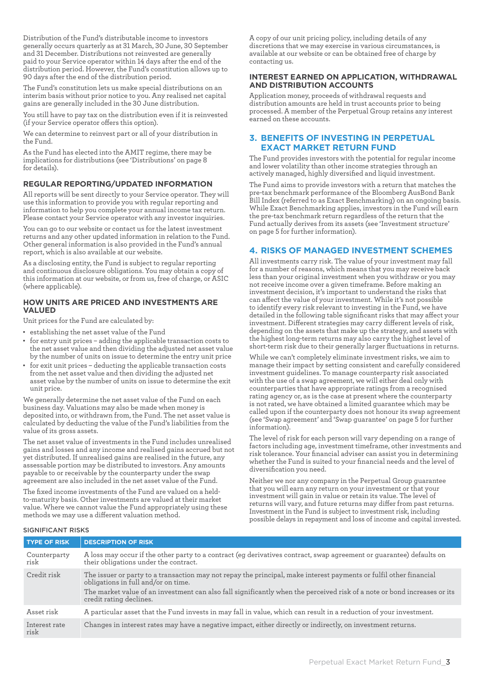Distribution of the Fund's distributable income to investors generally occurs quarterly as at 31 March, 30 June, 30 September and 31 December. Distributions not reinvested are generally paid to your Service operator within 14 days after the end of the distribution period. However, the Fund's constitution allows up to 90 days after the end of the distribution period.

The Fund's constitution lets us make special distributions on an interim basis without prior notice to you. Any realised net capital gains are generally included in the 30 June distribution.

You still have to pay tax on the distribution even if it is reinvested (if your Service operator offers this option).

We can determine to reinvest part or all of your distribution in the Fund.

As the Fund has elected into the AMIT regime, there may be implications for distributions (see 'Distributions' on page 8 for details).

# **REGULAR REPORTING/UPDATED INFORMATION**

All reports will be sent directly to your Service operator. They will use this information to provide you with regular reporting and information to help you complete your annual income tax return. Please contact your Service operator with any investor inquiries.

You can go to our website or contact us for the latest investment returns and any other updated information in relation to the Fund. Other general information is also provided in the Fund's annual report, which is also available at our website.

As a disclosing entity, the Fund is subject to regular reporting and continuous disclosure obligations. You may obtain a copy of this information at our website, or from us, free of charge, or ASIC (where applicable).

# **HOW UNITS ARE PRICED AND INVESTMENTS ARE VALUED**

Unit prices for the Fund are calculated by:

- • establishing the net asset value of the Fund
- • for entry unit prices adding the applicable transaction costs to the net asset value and then dividing the adjusted net asset value by the number of units on issue to determine the entry unit price
- for exit unit prices deducting the applicable transaction costs from the net asset value and then dividing the adjusted net asset value by the number of units on issue to determine the exit unit price.

We generally determine the net asset value of the Fund on each business day. Valuations may also be made when money is deposited into, or withdrawn from, the Fund. The net asset value is calculated by deducting the value of the Fund's liabilities from the value of its gross assets.

The net asset value of investments in the Fund includes unrealised gains and losses and any income and realised gains accrued but not yet distributed. If unrealised gains are realised in the future, any assessable portion may be distributed to investors. Any amounts payable to or receivable by the counterparty under the swap agreement are also included in the net asset value of the Fund.

The fixed income investments of the Fund are valued on a heldto-maturity basis. Other investments are valued at their market value. Where we cannot value the Fund appropriately using these methods we may use a different valuation method.

A copy of our unit pricing policy, including details of any discretions that we may exercise in various circumstances, is available at our website or can be obtained free of charge by contacting us.

## **INTEREST EARNED ON APPLICATION, WITHDRAWAL AND DISTRIBUTION ACCOUNTS**

Application money, proceeds of withdrawal requests and distribution amounts are held in trust accounts prior to being processed. A member of the Perpetual Group retains any interest earned on these accounts.

# **3. BENEFITS OF INVESTING IN PERPETUAL EXACT MARKET RETURN FUND**

The Fund provides investors with the potential for regular income and lower volatility than other income strategies through an actively managed, highly diversified and liquid investment.

The Fund aims to provide investors with a return that matches the pre-tax benchmark performance of the Bloomberg AusBond Bank Bill Index (referred to as Exact Benchmarking) on an ongoing basis. While Exact Benchmarking applies, investors in the Fund will earn the pre-tax benchmark return regardless of the return that the Fund actually derives from its assets (see 'Investment structure' on page 5 for further information).

# **4. RISKS OF MANAGED INVESTMENT SCHEMES**

All investments carry risk. The value of your investment may fall for a number of reasons, which means that you may receive back less than your original investment when you withdraw or you may not receive income over a given timeframe. Before making an investment decision, it's important to understand the risks that can affect the value of your investment. While it's not possible to identify every risk relevant to investing in the Fund, we have detailed in the following table significant risks that may affect your investment. Different strategies may carry different levels of risk, depending on the assets that make up the strategy, and assets with the highest long-term returns may also carry the highest level of short-term risk due to their generally larger fluctuations in returns.

While we can't completely eliminate investment risks, we aim to manage their impact by setting consistent and carefully considered investment guidelines. To manage counterparty risk associated with the use of a swap agreement, we will either deal only with counterparties that have appropriate ratings from a recognised rating agency or, as is the case at present where the counterparty is not rated, we have obtained a limited guarantee which may be called upon if the counterparty does not honour its swap agreement (see 'Swap agreement' and 'Swap guarantee' on page 5 for further information).

The level of risk for each person will vary depending on a range of factors including age, investment timeframe, other investments and risk tolerance. Your financial adviser can assist you in determining whether the Fund is suited to your financial needs and the level of diversification you need.

Neither we nor any company in the Perpetual Group guarantee that you will earn any return on your investment or that your investment will gain in value or retain its value. The level of returns will vary, and future returns may differ from past returns. Investment in the Fund is subject to investment risk, including possible delays in repayment and loss of income and capital invested.

#### SIGNIFICANT RISKS

| <b>TYPE OF RISK</b>   | <b>DESCRIPTION OF RISK</b>                                                                                                                                    |
|-----------------------|---------------------------------------------------------------------------------------------------------------------------------------------------------------|
| Counterparty<br>risk  | A loss may occur if the other party to a contract (eg derivatives contract, swap agreement or guarantee) defaults on<br>their obligations under the contract. |
| Credit risk           | The issuer or party to a transaction may not repay the principal, make interest payments or fulfil other financial<br>obligations in full and/or on time.     |
|                       | The market value of an investment can also fall significantly when the perceived risk of a note or bond increases or its<br>credit rating declines.           |
| Asset risk            | A particular asset that the Fund invests in may fall in value, which can result in a reduction of your investment.                                            |
| Interest rate<br>risk | Changes in interest rates may have a negative impact, either directly or indirectly, on investment returns.                                                   |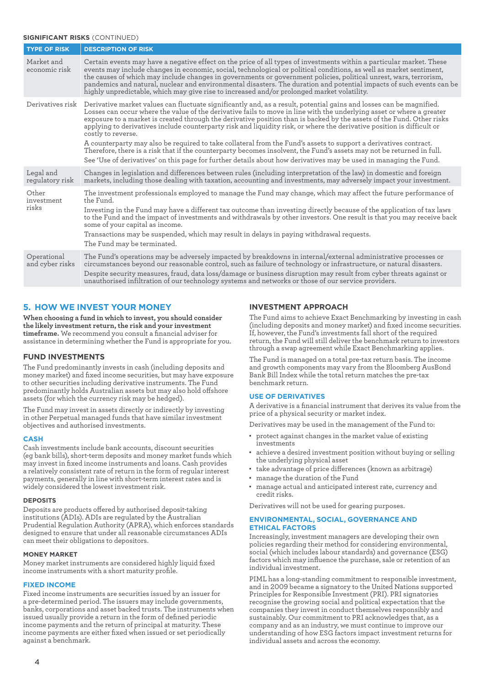# **SIGNIFICANT RISKS** (CONTINUED)

| <b>TYPE OF RISK</b>            | <b>DESCRIPTION OF RISK</b>                                                                                                                                                                                                                                                                                                                                                                                                                                                                                                                                                                                                                                                                                                                                         |
|--------------------------------|--------------------------------------------------------------------------------------------------------------------------------------------------------------------------------------------------------------------------------------------------------------------------------------------------------------------------------------------------------------------------------------------------------------------------------------------------------------------------------------------------------------------------------------------------------------------------------------------------------------------------------------------------------------------------------------------------------------------------------------------------------------------|
| Market and<br>economic risk    | Certain events may have a negative effect on the price of all types of investments within a particular market. These<br>events may include changes in economic, social, technological or political conditions, as well as market sentiment,<br>the causes of which may include changes in governments or government policies, political unrest, wars, terrorism,<br>pandemics and natural, nuclear and environmental disasters. The duration and potential impacts of such events can be<br>highly unpredictable, which may give rise to increased and/or prolonged market volatility.                                                                                                                                                                             |
| Derivatives risk               | Derivative market values can fluctuate significantly and, as a result, potential gains and losses can be magnified.<br>Losses can occur where the value of the derivative fails to move in line with the underlying asset or where a greater<br>exposure to a market is created through the derivative position than is backed by the assets of the Fund. Other risks<br>applying to derivatives include counterparty risk and liquidity risk, or where the derivative position is difficult or<br>costly to reverse.<br>A counterparty may also be required to take collateral from the Fund's assets to support a derivatives contract.<br>Therefore, there is a risk that if the counterparty becomes insolvent, the Fund's assets may not be returned in full. |
|                                | See 'Use of derivatives' on this page for further details about how derivatives may be used in managing the Fund.                                                                                                                                                                                                                                                                                                                                                                                                                                                                                                                                                                                                                                                  |
| Legal and<br>regulatory risk   | Changes in legislation and differences between rules (including interpretation of the law) in domestic and foreign<br>markets, including those dealing with taxation, accounting and investments, may adversely impact your investment.                                                                                                                                                                                                                                                                                                                                                                                                                                                                                                                            |
| Other<br>investment<br>risks   | The investment professionals employed to manage the Fund may change, which may affect the future performance of<br>the Fund.<br>Investing in the Fund may have a different tax outcome than investing directly because of the application of tax laws<br>to the Fund and the impact of investments and withdrawals by other investors. One result is that you may receive back<br>some of your capital as income.<br>Transactions may be suspended, which may result in delays in paying withdrawal requests.<br>The Fund may be terminated.                                                                                                                                                                                                                       |
| Operational<br>and cyber risks | The Fund's operations may be adversely impacted by breakdowns in internal/external administrative processes or<br>circumstances beyond our reasonable control, such as failure of technology or infrastructure, or natural disasters.<br>Despite security measures, fraud, data loss/damage or business disruption may result from cyber threats against or<br>unauthorised infiltration of our technology systems and networks or those of our service providers.                                                                                                                                                                                                                                                                                                 |

# **5. HOW WE INVEST YOUR MONEY**

**When choosing a fund in which to invest, you should consider the likely investment return, the risk and your investment timeframe.** We recommend you consult a financial adviser for assistance in determining whether the Fund is appropriate for you.

## **FUND INVESTMENTS**

The Fund predominantly invests in cash (including deposits and money market) and fixed income securities, but may have exposure to other securities including derivative instruments. The Fund predominantly holds Australian assets but may also hold offshore assets (for which the currency risk may be hedged).

The Fund may invest in assets directly or indirectly by investing in other Perpetual managed funds that have similar investment objectives and authorised investments.

#### **CASH**

Cash investments include bank accounts, discount securities (eg bank bills), short-term deposits and money market funds which may invest in fixed income instruments and loans. Cash provides a relatively consistent rate of return in the form of regular interest payments, generally in line with short-term interest rates and is widely considered the lowest investment risk.

#### **DEPOSITS**

Deposits are products offered by authorised deposit-taking institutions (ADIs). ADIs are regulated by the Australian Prudential Regulation Authority (APRA), which enforces standards designed to ensure that under all reasonable circumstances ADIs can meet their obligations to depositors.

#### **MONEY MARKET**

Money market instruments are considered highly liquid fixed income instruments with a short maturity profile.

#### **FIXED INCOME**

Fixed income instruments are securities issued by an issuer for a pre-determined period. The issuers may include governments, banks, corporations and asset backed trusts. The instruments when issued usually provide a return in the form of defined periodic income payments and the return of principal at maturity. These income payments are either fixed when issued or set periodically against a benchmark.

# **INVESTMENT APPROACH**

The Fund aims to achieve Exact Benchmarking by investing in cash (including deposits and money market) and fixed income securities. If, however, the Fund's investments fall short of the required return, the Fund will still deliver the benchmark return to investors through a swap agreement while Exact Benchmarking applies.

The Fund is managed on a total pre-tax return basis. The income and growth components may vary from the Bloomberg AusBond Bank Bill Index while the total return matches the pre-tax benchmark return.

#### **USE OF DERIVATIVES**

A derivative is a financial instrument that derives its value from the price of a physical security or market index.

Derivatives may be used in the management of the Fund to:

- • protect against changes in the market value of existing investments
- achieve a desired investment position without buying or selling the underlying physical asset
- • take advantage of price differences (known as arbitrage)
- • manage the duration of the Fund
- • manage actual and anticipated interest rate, currency and credit risks.

Derivatives will not be used for gearing purposes.

#### **ENVIRONMENTAL, SOCIAL, GOVERNANCE AND ETHICAL FACTORS**

Increasingly, investment managers are developing their own policies regarding their method for considering environmental, social (which includes labour standards) and governance (ESG) factors which may influence the purchase, sale or retention of an individual investment.

PIML has a long-standing commitment to responsible investment, and in 2009 became a signatory to the United Nations supported Principles for Responsible Investment (PRI). PRI signatories recognise the growing social and political expectation that the companies they invest in conduct themselves responsibly and sustainably. Our commitment to PRI acknowledges that, as a company and as an industry, we must continue to improve our understanding of how ESG factors impact investment returns for individual assets and across the economy.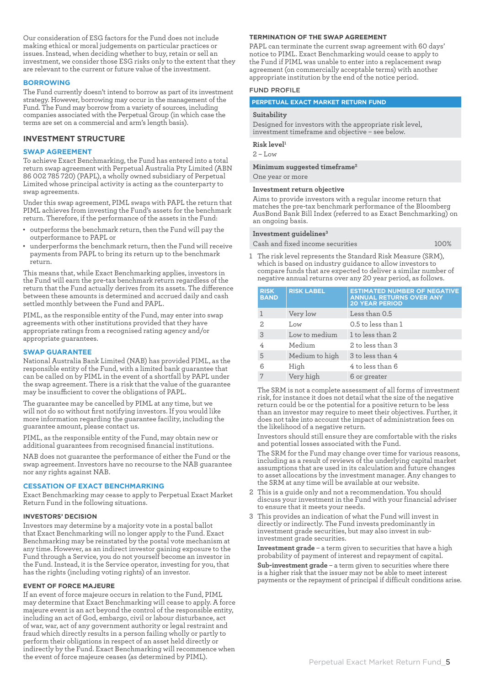Our consideration of ESG factors for the Fund does not include making ethical or moral judgements on particular practices or issues. Instead, when deciding whether to buy, retain or sell an investment, we consider those ESG risks only to the extent that they are relevant to the current or future value of the investment.

#### **BORROWING**

The Fund currently doesn't intend to borrow as part of its investment strategy. However, borrowing may occur in the management of the Fund. The Fund may borrow from a variety of sources, including companies associated with the Perpetual Group (in which case the terms are set on a commercial and arm's length basis).

## **INVESTMENT STRUCTURE**

#### **SWAP AGREEMENT**

To achieve Exact Benchmarking, the Fund has entered into a total return swap agreement with Perpetual Australia Pty Limited (ABN 86 002 785 720) (PAPL), a wholly owned subsidiary of Perpetual Limited whose principal activity is acting as the counterparty to swap agreements.

Under this swap agreement, PIML swaps with PAPL the return that PIML achieves from investing the Fund's assets for the benchmark return. Therefore, if the performance of the assets in the Fund:

- outperforms the benchmark return, then the Fund will pay the outperformance to PAPL or
- underperforms the benchmark return, then the Fund will receive payments from PAPL to bring its return up to the benchmark return.

This means that, while Exact Benchmarking applies, investors in the Fund will earn the pre-tax benchmark return regardless of the return that the Fund actually derives from its assets. The difference between these amounts is determined and accrued daily and cash settled monthly between the Fund and PAPL.

PIML, as the responsible entity of the Fund, may enter into swap agreements with other institutions provided that they have appropriate ratings from a recognised rating agency and/or appropriate guarantees.

#### **SWAP GUARANTEE**

National Australia Bank Limited (NAB) has provided PIML, as the responsible entity of the Fund, with a limited bank guarantee that can be called on by PIML in the event of a shortfall by PAPL under the swap agreement. There is a risk that the value of the guarantee may be insufficient to cover the obligations of PAPL.

The guarantee may be cancelled by PIML at any time, but we will not do so without first notifying investors. If you would like more information regarding the guarantee facility, including the guarantee amount, please contact us.

PIML, as the responsible entity of the Fund, may obtain new or additional guarantees from recognised financial institutions.

NAB does not guarantee the performance of either the Fund or the swap agreement. Investors have no recourse to the NAB guarantee nor any rights against NAB.

#### **CESSATION OF EXACT BENCHMARKING**

Exact Benchmarking may cease to apply to Perpetual Exact Market Return Fund in the following situations.

#### **INVESTORS' DECISION**

Investors may determine by a majority vote in a postal ballot that Exact Benchmarking will no longer apply to the Fund. Exact Benchmarking may be reinstated by the postal vote mechanism at any time. However, as an indirect investor gaining exposure to the Fund through a Service, you do not yourself become an investor in the Fund. Instead, it is the Service operator, investing for you, that has the rights (including voting rights) of an investor.

#### **EVENT OF FORCE MAJEURE**

If an event of force majeure occurs in relation to the Fund, PIML may determine that Exact Benchmarking will cease to apply. A force majeure event is an act beyond the control of the responsible entity, including an act of God, embargo, civil or labour disturbance, act of war, war, act of any government authority or legal restraint and fraud which directly results in a person failing wholly or partly to perform their obligations in respect of an asset held directly or indirectly by the Fund. Exact Benchmarking will recommence when the event of force majeure ceases (as determined by PIML).

#### **TERMINATION OF THE SWAP AGREEMENT**

PAPL can terminate the current swap agreement with 60 days' notice to PIML. Exact Benchmarking would cease to apply to the Fund if PIML was unable to enter into a replacement swap agreement (on commercially acceptable terms) with another appropriate institution by the end of the notice period.

#### FUND PROFILE

#### **PERPETUAL EXACT MARKET RETURN FUND**

#### **Suitability**

Designed for investors with the appropriate risk level, investment timeframe and objective – see below.

**Risk level1**

 $2 - L$ ow

#### **Minimum suggested timeframe2**

One year or more

#### **Investment return objective**

Aims to provide investors with a regular income return that matches the pre-tax benchmark performance of the Bloomberg AusBond Bank Bill Index (referred to as Exact Benchmarking) on an ongoing basis.

#### **Investment guidelines3**

Cash and fixed income securities 100%

- 
- 1 The risk level represents the Standard Risk Measure (SRM), which is based on industry guidance to allow investors to compare funds that are expected to deliver a similar number of negative annual returns over any 20 year period, as follows.

| <b>RISK</b><br><b>BAND</b> | <b>RISK LABEL</b> | <b>ESTIMATED NUMBER OF NEGATIVE</b><br><b>ANNUAL RETURNS OVER ANY</b><br><b>20 YEAR PERIOD</b> |
|----------------------------|-------------------|------------------------------------------------------------------------------------------------|
|                            | Very low          | Less than 0.5                                                                                  |
| 2.                         | Low               | 0.5 to less than 1                                                                             |
| 3                          | Low to medium     | 1 to less than 2                                                                               |
| 4                          | Medium            | 2 to less than 3                                                                               |
| 5                          | Medium to high    | 3 to less than 4                                                                               |
| 6                          | High              | 4 to less than 6                                                                               |
|                            | Very high         | 6 or greater                                                                                   |

The SRM is not a complete assessment of all forms of investment risk, for instance it does not detail what the size of the negative return could be or the potential for a positive return to be less than an investor may require to meet their objectives. Further, it does not take into account the impact of administration fees on the likelihood of a negative return.

Investors should still ensure they are comfortable with the risks and potential losses associated with the Fund.

The SRM for the Fund may change over time for various reasons, including as a result of reviews of the underlying capital market assumptions that are used in its calculation and future changes to asset allocations by the investment manager. Any changes to the SRM at any time will be available at our website.

- 2 This is a guide only and not a recommendation. You should discuss your investment in the Fund with your financial adviser to ensure that it meets your needs.
- 3 This provides an indication of what the Fund will invest in directly or indirectly. The Fund invests predominantly in investment grade securities, but may also invest in subinvestment grade securities.

**Investment grade** – a term given to securities that have a high probability of payment of interest and repayment of capital.

**Sub-investment grade** – a term given to securities where there is a higher risk that the issuer may not be able to meet interest payments or the repayment of principal if difficult conditions arise.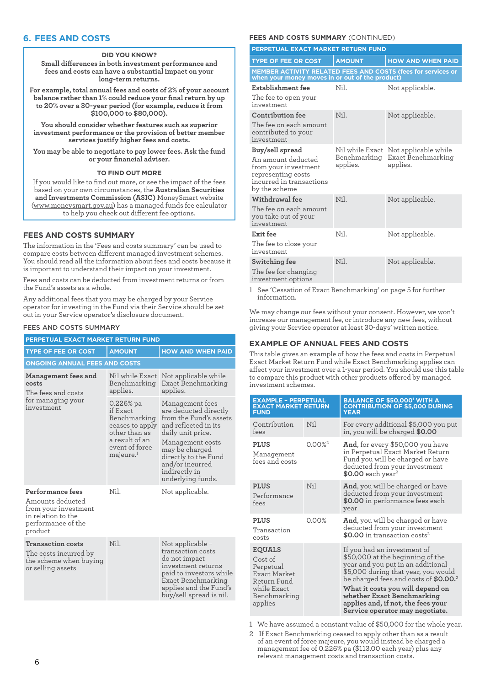# **6. FEES AND COSTS**

#### **DID YOU KNOW?**

**Small differences in both investment performance and fees and costs can have a substantial impact on your long-term returns.**

**For example, total annual fees and costs of 2% of your account balance rather than 1% could reduce your final return by up to 20% over a 30-year period (for example, reduce it from \$100,000 to \$80,000).**

**You should consider whether features such as superior investment performance or the provision of better member services justify higher fees and costs.**

**You may be able to negotiate to pay lower fees. Ask the fund or your financial adviser.**

#### **TO FIND OUT MORE**

If you would like to find out more, or see the impact of the fees based on your own circumstances, the **Australian Securities and Investments Commission (ASIC)** MoneySmart website (www.moneysmart.gov.au) has a managed funds fee calculator to help you check out different fee options.

# **FEES AND COSTS SUMMARY**

The information in the 'Fees and costs summary' can be used to compare costs between different managed investment schemes. You should read all the information about fees and costs because it is important to understand their impact on your investment.

Fees and costs can be deducted from investment returns or from the Fund's assets as a whole.

Any additional fees that you may be charged by your Service operator for investing in the Fund via their Service should be set out in your Service operator's disclosure document.

#### FEES AND COSTS SUMMARY

| PERPETUAL EXACT MARKET RETURN FUND                                                                                  |                                                                                                                                           |                                                                                                                                                                                                                                        |  |  |
|---------------------------------------------------------------------------------------------------------------------|-------------------------------------------------------------------------------------------------------------------------------------------|----------------------------------------------------------------------------------------------------------------------------------------------------------------------------------------------------------------------------------------|--|--|
| <b>TYPE OF FEE OR COST</b>                                                                                          | <b>AMOUNT</b>                                                                                                                             | <b>HOW AND WHEN PAID</b>                                                                                                                                                                                                               |  |  |
| <b>ONGOING ANNUAL FEES AND COSTS</b>                                                                                |                                                                                                                                           |                                                                                                                                                                                                                                        |  |  |
| Management fees and<br>costs<br>The fees and costs                                                                  | Nil while Exact<br>Benchmarking<br>applies.                                                                                               | Not applicable while<br>Exact Benchmarking<br>applies.                                                                                                                                                                                 |  |  |
| for managing your<br>investment                                                                                     | $0.226\%$ pa<br>if Exact<br>Benchmarking<br>ceases to apply<br>other than as<br>a result of an<br>event of force<br>majeure. <sup>1</sup> | Management fees<br>are deducted directly<br>from the Fund's assets<br>and reflected in its<br>daily unit price.<br>Management costs<br>may be charged<br>directly to the Fund<br>and/or incurred<br>indirectly in<br>underlying funds. |  |  |
| Performance fees<br>Amounts deducted<br>from your investment<br>in relation to the<br>performance of the<br>product | Nil.                                                                                                                                      | Not applicable.                                                                                                                                                                                                                        |  |  |
| <b>Transaction costs</b><br>The costs incurred by<br>the scheme when buying<br>or selling assets                    | Nil.                                                                                                                                      | Not applicable -<br>transaction costs<br>do not impact<br>investment returns<br>paid to investors while<br>Exact Benchmarking<br>applies and the Fund's<br>buy/sell spread is nil.                                                     |  |  |

## **FEES AND COSTS SUMMARY (CONTINUED)**

| PERPETUAL EXACT MARKET RETURN FUND                                                                                               |                                             |                                                        |  |
|----------------------------------------------------------------------------------------------------------------------------------|---------------------------------------------|--------------------------------------------------------|--|
| <b>TYPE OF FEE OR COST</b>                                                                                                       | <b>AMOUNT</b>                               | <b>HOW AND WHEN PAID</b>                               |  |
| MEMBER ACTIVITY RELATED FEES AND COSTS (fees for services or<br>when your money moves in or out of the product)                  |                                             |                                                        |  |
| Establishment fee<br>The fee to open your<br>investment                                                                          | Nil.                                        | Not applicable.                                        |  |
| Contribution fee<br>The fee on each amount<br>contributed to your<br>investment                                                  | Nil                                         | Not applicable.                                        |  |
| Buy/sell spread<br>An amount deducted<br>from your investment<br>representing costs<br>incurred in transactions<br>by the scheme | Nil while Exact<br>Benchmarking<br>applies. | Not applicable while<br>Exact Benchmarking<br>applies. |  |
| Withdrawal fee<br>The fee on each amount<br>you take out of your<br>investment                                                   | Nil                                         | Not applicable.                                        |  |
| Exit fee<br>The fee to close your<br>investment                                                                                  | Nil.                                        | Not applicable.                                        |  |
| Switching fee<br>The fee for changing<br>investment options                                                                      | Nil.                                        | Not applicable.                                        |  |

1 See 'Cessation of Exact Benchmarking' on page 5 for further information.

We may change our fees without your consent. However, we won't increase our management fee, or introduce any new fees, without giving your Service operator at least 30-days' written notice.

# **EXAMPLE OF ANNUAL FEES AND COSTS**

This table gives an example of how the fees and costs in Perpetual Exact Market Return Fund while Exact Benchmarking applies can affect your investment over a 1-year period. You should use this table to compare this product with other products offered by managed investment schemes.

| <b>EXAMPLE - PERPETUAL</b><br><b>EXACT MARKET RETURN</b><br><b>FUND</b>                                               |                       | <b>BALANCE OF \$50,000' WITH A</b><br><b>CONTRIBUTION OF \$5,000 DURING</b><br><b>YEAR</b>                                                                                                                                                                                                                                                  |  |
|-----------------------------------------------------------------------------------------------------------------------|-----------------------|---------------------------------------------------------------------------------------------------------------------------------------------------------------------------------------------------------------------------------------------------------------------------------------------------------------------------------------------|--|
| Contribution<br>fees                                                                                                  | Nil                   | For every additional \$5,000 you put<br>in, you will be charged \$0.00                                                                                                                                                                                                                                                                      |  |
| <b>PLUS</b><br>Management<br>fees and costs                                                                           | $0.00\%$ <sup>2</sup> | <b>And,</b> for every \$50,000 you have<br>in Perpetual Exact Market Return<br>Fund you will be charged or have<br>deducted from your investment<br>$$0.00$ each year <sup>2</sup>                                                                                                                                                          |  |
| <b>PLUS</b><br>Performance<br>fees                                                                                    | Nil                   | <b>And</b> , you will be charged or have<br>deducted from your investment<br>\$0.00 in performance fees each<br>year                                                                                                                                                                                                                        |  |
| <b>PLUS</b><br>Transaction<br>costs                                                                                   | 0.00%                 | <b>And</b> , you will be charged or have<br>deducted from your investment<br>\$0.00 in transaction costs <sup>2</sup>                                                                                                                                                                                                                       |  |
| <b>EQUALS</b><br>Cost of<br>Perpetual<br><b>Exact Market</b><br>Return Fund<br>while Exact<br>Benchmarking<br>applies |                       | If you had an investment of<br>\$50,000 at the beginning of the<br>year and you put in an additional<br>\$5,000 during that year, you would<br>be charged fees and costs of \$0.00. <sup>2</sup><br>What it costs you will depend on<br>whether Exact Benchmarking<br>applies and, if not, the fees your<br>Service operator may negotiate. |  |

1 We have assumed a constant value of \$50,000 for the whole year.

2 If Exact Benchmarking ceased to apply other than as a result of an event of force majeure, you would instead be charged a management fee of 0.226% pa (\$113.00 each year) plus any relevant management costs and transaction costs.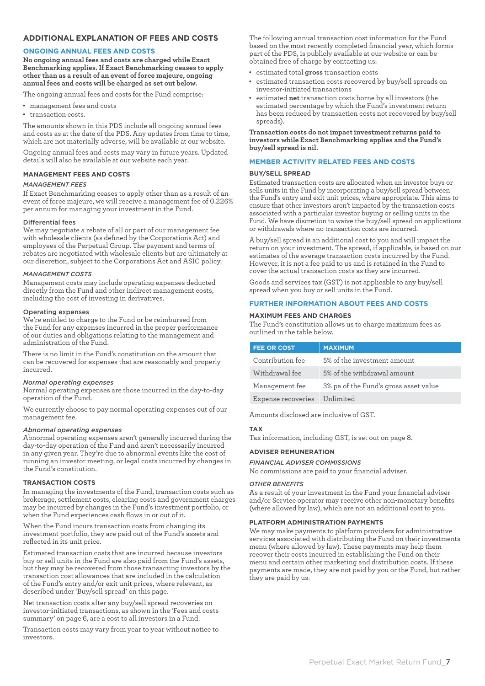# **ADDITIONAL EXPLANATION OF FEES AND COSTS**

# **ONGOING ANNUAL FEES AND COSTS**

**No ongoing annual fees and costs are charged while Exact Benchmarking applies. If Exact Benchmarking ceases to apply other than as a result of an event of force majeure, ongoing annual fees and costs will be charged as set out below.**

The ongoing annual fees and costs for the Fund comprise:

- • management fees and costs
- • transaction costs.

The amounts shown in this PDS include all ongoing annual fees and costs as at the date of the PDS. Any updates from time to time, which are not materially adverse, will be available at our website.

Ongoing annual fees and costs may vary in future years. Updated details will also be available at our website each year.

## **MANAGEMENT FEES AND COSTS**

#### *MANAGEMENT FEES*

If Exact Benchmarking ceases to apply other than as a result of an event of force majeure, we will receive a management fee of 0.226% per annum for managing your investment in the Fund.

#### Differential fees

We may negotiate a rebate of all or part of our management fee with wholesale clients (as defined by the Corporations Act) and employees of the Perpetual Group. The payment and terms of rebates are negotiated with wholesale clients but are ultimately at our discretion, subject to the Corporations Act and ASIC policy.

#### *MANAGEMENT COSTS*

Management costs may include operating expenses deducted directly from the Fund and other indirect management costs, including the cost of investing in derivatives.

## Operating expenses

We're entitled to charge to the Fund or be reimbursed from the Fund for any expenses incurred in the proper performance of our duties and obligations relating to the management and administration of the Fund.

There is no limit in the Fund's constitution on the amount that can be recovered for expenses that are reasonably and properly incurred.

## *Normal operating expenses*

Normal operating expenses are those incurred in the day-to-day operation of the Fund.

We currently choose to pay normal operating expenses out of our management fee.

#### *Abnormal operating expenses*

Abnormal operating expenses aren't generally incurred during the day-to-day operation of the Fund and aren't necessarily incurred in any given year. They're due to abnormal events like the cost of running an investor meeting, or legal costs incurred by changes in the Fund's constitution.

## **TRANSACTION COSTS**

In managing the investments of the Fund, transaction costs such as brokerage, settlement costs, clearing costs and government charges may be incurred by changes in the Fund's investment portfolio, or when the Fund experiences cash flows in or out of it.

When the Fund incurs transaction costs from changing its investment portfolio, they are paid out of the Fund's assets and reflected in its unit price.

Estimated transaction costs that are incurred because investors buy or sell units in the Fund are also paid from the Fund's assets, but they may be recovered from those transacting investors by the transaction cost allowances that are included in the calculation of the Fund's entry and/or exit unit prices, where relevant, as described under 'Buy/sell spread' on this page.

Net transaction costs after any buy/sell spread recoveries on investor-initiated transactions, as shown in the 'Fees and costs summary' on page 6, are a cost to all investors in a Fund.

Transaction costs may vary from year to year without notice to investors.

The following annual transaction cost information for the Fund based on the most recently completed financial year, which forms part of the PDS, is publicly available at our website or can be obtained free of charge by contacting us:

- estimated total gross transaction costs
- estimated transaction costs recovered by buy/sell spreads on investor-initiated transactions
- • estimated **net** transaction costs borne by all investors (the estimated percentage by which the Fund's investment return has been reduced by transaction costs not recovered by buy/sell spreads).

#### **Transaction costs do not impact investment returns paid to investors while Exact Benchmarking applies and the Fund's buy/sell spread is nil.**

## **MEMBER ACTIVITY RELATED FEES AND COSTS**

## **BUY/SELL SPREAD**

Estimated transaction costs are allocated when an investor buys or sells units in the Fund by incorporating a buy/sell spread between the Fund's entry and exit unit prices, where appropriate. This aims to ensure that other investors aren't impacted by the transaction costs associated with a particular investor buying or selling units in the Fund. We have discretion to waive the buy/sell spread on applications or withdrawals where no transaction costs are incurred.

A buy/sell spread is an additional cost to you and will impact the return on your investment. The spread, if applicable, is based on our estimates of the average transaction costs incurred by the Fund. However, it is not a fee paid to us and is retained in the Fund to cover the actual transaction costs as they are incurred.

Goods and services tax (GST) is not applicable to any buy/sell spread when you buy or sell units in the Fund.

## **FURTHER INFORMATION ABOUT FEES AND COSTS**

## **MAXIMUM FEES AND CHARGES**

The Fund's constitution allows us to charge maximum fees as outlined in the table below.

| <b>FEE OR COST</b> | <b>MAXIMUM</b>                        |
|--------------------|---------------------------------------|
| Contribution fee   | 5% of the investment amount           |
| Withdrawal fee     | 5% of the withdrawal amount           |
| Management fee     | 3% pa of the Fund's gross asset value |
| Expense recoveries | Unlimited                             |

Amounts disclosed are inclusive of GST.

# **TAX**

Tax information, including GST, is set out on page 8.

## **ADVISER REMUNERATION**

#### *FINANCIAL ADVISER COMMISSIONS*

No commissions are paid to your financial adviser.

#### *OTHER BENEFITS*

As a result of your investment in the Fund your financial adviser and/or Service operator may receive other non-monetary benefits (where allowed by law), which are not an additional cost to you.

# **PLATFORM ADMINISTRATION PAYMENTS**

We may make payments to platform providers for administrative services associated with distributing the Fund on their investments menu (where allowed by law). These payments may help them recover their costs incurred in establishing the Fund on their menu and certain other marketing and distribution costs. If these payments are made, they are not paid by you or the Fund, but rather they are paid by us.